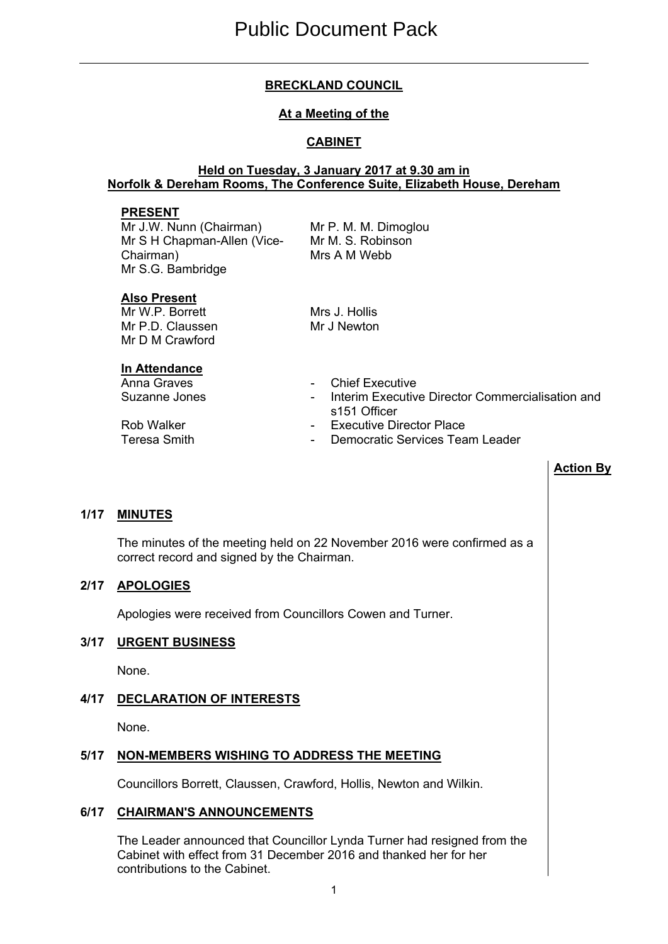# **BRECKLAND COUNCIL**

# **At a Meeting of the**

# **CABINET**

### **Held on Tuesday, 3 January 2017 at 9.30 am in Norfolk & Dereham Rooms, The Conference Suite, Elizabeth House, Dereham**

#### **PRESENT**

Mr J.W. Nunn (Chairman) Mr S H Chapman-Allen (Vice-Chairman) Mr S.G. Bambridge

Mr P. M. M. Dimoglou Mr M. S. Robinson Mrs A M Webb

### **Also Present**

Mr W.P. Borrett Mr P.D. Claussen Mr D M Crawford

# **In Attendance**

Mrs J. Hollis Mr J Newton

- Anna Graves **Anna Graves 1988**
- Suzanne Jones  **Interim Executive Director Commercialisation and** s151 Officer
- Rob Walker  **Executive Director Place**<br>Teresa Smith Pemocratic Services Tea
	- Democratic Services Team Leader

### **Action By**

# **1/17 MINUTES**

The minutes of the meeting held on 22 November 2016 were confirmed as a correct record and signed by the Chairman.

### **2/17 APOLOGIES**

Apologies were received from Councillors Cowen and Turner.

# **3/17 URGENT BUSINESS**

None.

# **4/17 DECLARATION OF INTERESTS**

None.

# **5/17 NON-MEMBERS WISHING TO ADDRESS THE MEETING**

Councillors Borrett, Claussen, Crawford, Hollis, Newton and Wilkin.

# **6/17 CHAIRMAN'S ANNOUNCEMENTS**

The Leader announced that Councillor Lynda Turner had resigned from the Cabinet with effect from 31 December 2016 and thanked her for her contributions to the Cabinet.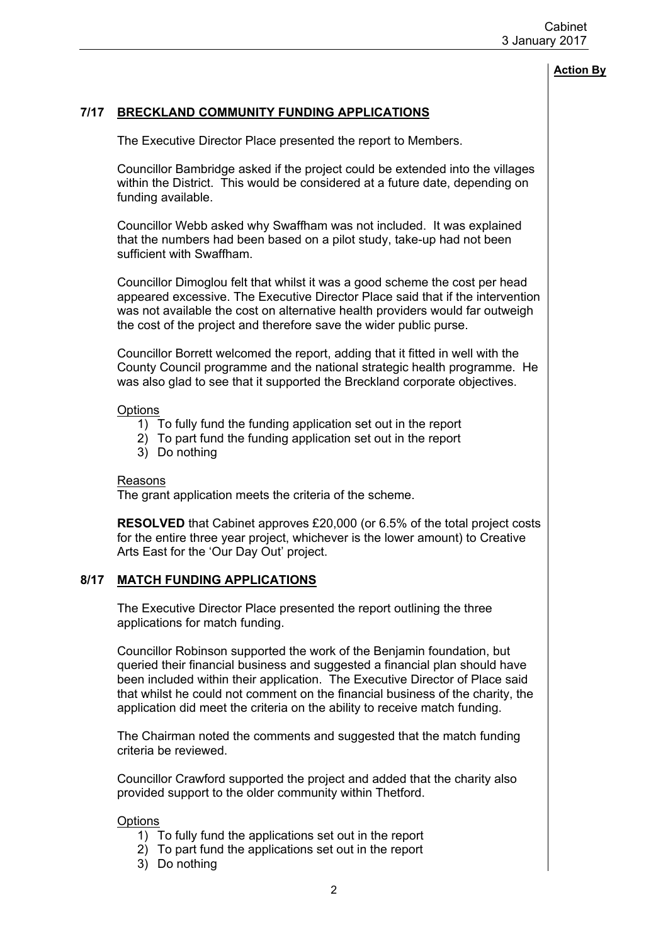#### **Action By**

# **7/17 BRECKLAND COMMUNITY FUNDING APPLICATIONS**

The Executive Director Place presented the report to Members.

Councillor Bambridge asked if the project could be extended into the villages within the District. This would be considered at a future date, depending on funding available.

Councillor Webb asked why Swaffham was not included. It was explained that the numbers had been based on a pilot study, take-up had not been sufficient with Swaffham.

Councillor Dimoglou felt that whilst it was a good scheme the cost per head appeared excessive. The Executive Director Place said that if the intervention was not available the cost on alternative health providers would far outweigh the cost of the project and therefore save the wider public purse.

Councillor Borrett welcomed the report, adding that it fitted in well with the County Council programme and the national strategic health programme. He was also glad to see that it supported the Breckland corporate objectives.

#### **Options**

- 1) To fully fund the funding application set out in the report
- 2) To part fund the funding application set out in the report
- 3) Do nothing

#### Reasons

The grant application meets the criteria of the scheme.

**RESOLVED** that Cabinet approves £20,000 (or 6.5% of the total project costs for the entire three year project, whichever is the lower amount) to Creative Arts East for the 'Our Day Out' project.

#### **8/17 MATCH FUNDING APPLICATIONS**

The Executive Director Place presented the report outlining the three applications for match funding.

Councillor Robinson supported the work of the Benjamin foundation, but queried their financial business and suggested a financial plan should have been included within their application. The Executive Director of Place said that whilst he could not comment on the financial business of the charity, the application did meet the criteria on the ability to receive match funding.

The Chairman noted the comments and suggested that the match funding criteria be reviewed.

Councillor Crawford supported the project and added that the charity also provided support to the older community within Thetford.

#### **Options**

- 1) To fully fund the applications set out in the report
- 2) To part fund the applications set out in the report
- 3) Do nothing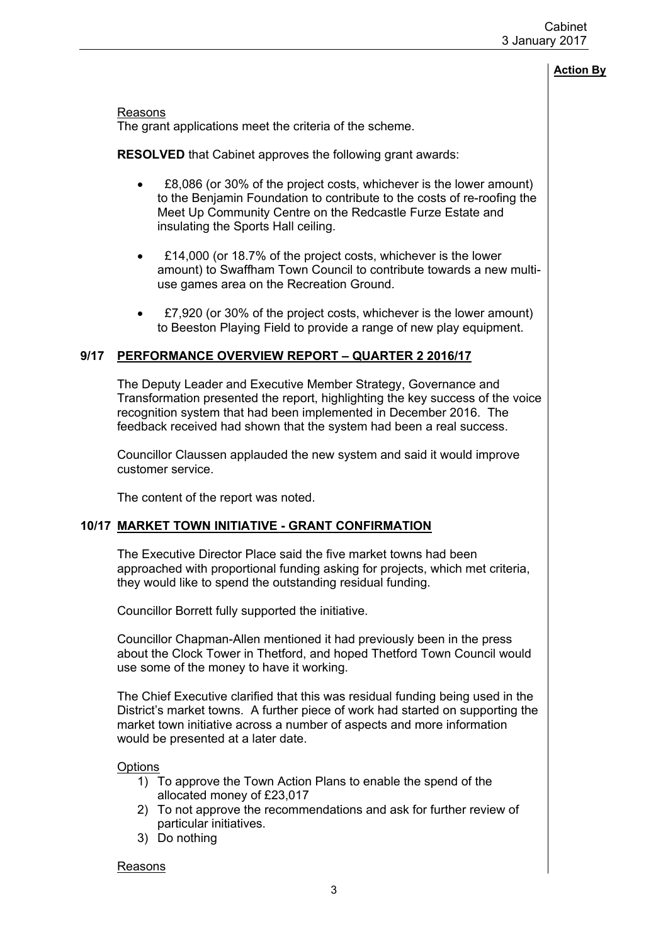#### **Action By**

Reasons

The grant applications meet the criteria of the scheme.

**RESOLVED** that Cabinet approves the following grant awards:

- £8,086 (or 30% of the project costs, whichever is the lower amount) to the Benjamin Foundation to contribute to the costs of re-roofing the Meet Up Community Centre on the Redcastle Furze Estate and insulating the Sports Hall ceiling.
- £14,000 (or 18.7% of the project costs, whichever is the lower amount) to Swaffham Town Council to contribute towards a new multiuse games area on the Recreation Ground.
- £7,920 (or 30% of the project costs, whichever is the lower amount) to Beeston Playing Field to provide a range of new play equipment.

#### **9/17 PERFORMANCE OVERVIEW REPORT – QUARTER 2 2016/17**

The Deputy Leader and Executive Member Strategy, Governance and Transformation presented the report, highlighting the key success of the voice recognition system that had been implemented in December 2016. The feedback received had shown that the system had been a real success.

Councillor Claussen applauded the new system and said it would improve customer service.

The content of the report was noted.

### **10/17 MARKET TOWN INITIATIVE - GRANT CONFIRMATION**

The Executive Director Place said the five market towns had been approached with proportional funding asking for projects, which met criteria, they would like to spend the outstanding residual funding.

Councillor Borrett fully supported the initiative.

Councillor Chapman-Allen mentioned it had previously been in the press about the Clock Tower in Thetford, and hoped Thetford Town Council would use some of the money to have it working.

The Chief Executive clarified that this was residual funding being used in the District's market towns. A further piece of work had started on supporting the market town initiative across a number of aspects and more information would be presented at a later date.

**Options** 

- 1) To approve the Town Action Plans to enable the spend of the allocated money of £23,017
- 2) To not approve the recommendations and ask for further review of particular initiatives.
- 3) Do nothing

Reasons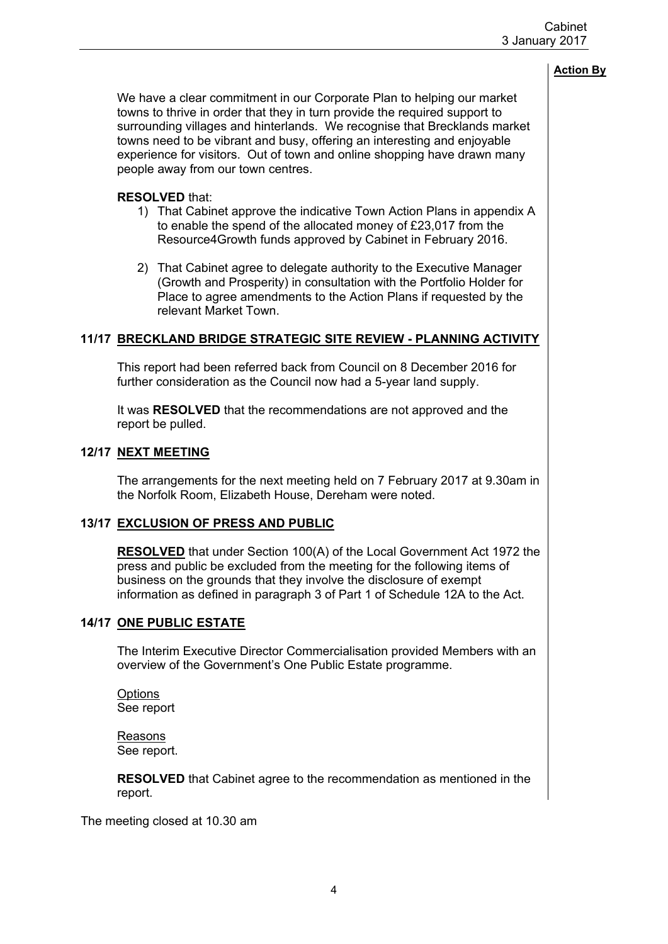### **Action By**

We have a clear commitment in our Corporate Plan to helping our market towns to thrive in order that they in turn provide the required support to surrounding villages and hinterlands. We recognise that Brecklands market towns need to be vibrant and busy, offering an interesting and enjoyable experience for visitors. Out of town and online shopping have drawn many people away from our town centres.

### **RESOLVED** that:

- 1) That Cabinet approve the indicative Town Action Plans in appendix A to enable the spend of the allocated money of £23,017 from the Resource4Growth funds approved by Cabinet in February 2016.
- 2) That Cabinet agree to delegate authority to the Executive Manager (Growth and Prosperity) in consultation with the Portfolio Holder for Place to agree amendments to the Action Plans if requested by the relevant Market Town.

# **11/17 BRECKLAND BRIDGE STRATEGIC SITE REVIEW - PLANNING ACTIVITY**

This report had been referred back from Council on 8 December 2016 for further consideration as the Council now had a 5-year land supply.

It was **RESOLVED** that the recommendations are not approved and the report be pulled.

# **12/17 NEXT MEETING**

The arrangements for the next meeting held on 7 February 2017 at 9.30am in the Norfolk Room, Elizabeth House, Dereham were noted.

### **13/17 EXCLUSION OF PRESS AND PUBLIC**

**RESOLVED** that under Section 100(A) of the Local Government Act 1972 the press and public be excluded from the meeting for the following items of business on the grounds that they involve the disclosure of exempt information as defined in paragraph 3 of Part 1 of Schedule 12A to the Act.

#### **14/17 ONE PUBLIC ESTATE**

The Interim Executive Director Commercialisation provided Members with an overview of the Government's One Public Estate programme.

**Options** See report

Reasons See report.

**RESOLVED** that Cabinet agree to the recommendation as mentioned in the report.

The meeting closed at 10.30 am